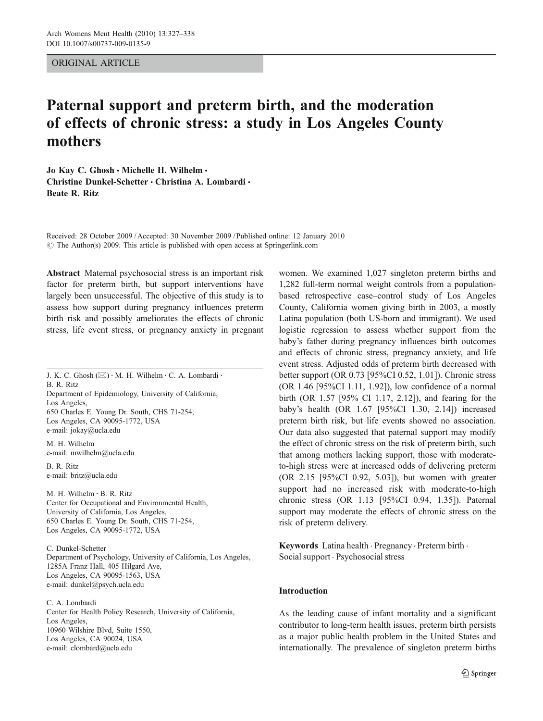ORIGINAL ARTICLE

# Paternal support and preterm birth, and the moderation of effects of chronic stress: a study in Los Angeles County mothers

Jo Kay C. Ghosh  $\cdot$  Michelle H. Wilhelm  $\cdot$ Christine Dunkel-Schetter • Christina A. Lombardi • Beate R. Ritz

Received: 28 October 2009 /Accepted: 30 November 2009 / Published online: 12 January 2010  $\odot$  The Author(s) 2009. This article is published with open access at Springerlink.com

Abstract Maternal psychosocial stress is an important risk factor for preterm birth, but support interventions have largely been unsuccessful. The objective of this study is to assess how support during pregnancy influences preterm birth risk and possibly ameliorates the effects of chronic stress, life event stress, or pregnancy anxiety in pregnant

J. K. C. Ghosh  $(\boxtimes) \cdot$  M. H. Wilhelm  $\cdot$  C. A. Lombardi  $\cdot$ B. R. Ritz Department of Epidemiology, University of California, Los Angeles, 650 Charles E. Young Dr. South, CHS 71-254, Los Angeles, CA 90095-1772, USA e-mail: jokay@ucla.edu

M. H. Wilhelm e-mail: mwilhelm@ucla.edu

B. R. Ritz e-mail: britz@ucla.edu

M. H. Wilhelm : B. R. Ritz Center for Occupational and Environmental Health, University of California, Los Angeles, 650 Charles E. Young Dr. South, CHS 71-254, Los Angeles, CA 90095-1772, USA

C. Dunkel-Schetter Department of Psychology, University of California, Los Angeles, 1285A Franz Hall, 405 Hilgard Ave, Los Angeles, CA 90095-1563, USA e-mail: dunkel@psych.ucla.edu

C. A. Lombardi Center for Health Policy Research, University of California, Los Angeles, 10960 Wilshire Blvd, Suite 1550, Los Angeles, CA 90024, USA e-mail: clombard@ucla.edu

women. We examined 1,027 singleton preterm births and 1,282 full-term normal weight controls from a populationbased retrospective case–control study of Los Angeles County, California women giving birth in 2003, a mostly Latina population (both US-born and immigrant). We used logistic regression to assess whether support from the baby's father during pregnancy influences birth outcomes and effects of chronic stress, pregnancy anxiety, and life event stress. Adjusted odds of preterm birth decreased with better support (OR 0.73 [95%CI 0.52, 1.01]). Chronic stress (OR 1.46 [95%CI 1.11, 1.92]), low confidence of a normal birth (OR 1.57 [95% CI 1.17, 2.12]), and fearing for the baby's health (OR 1.67 [95%CI 1.30, 2.14]) increased preterm birth risk, but life events showed no association. Our data also suggested that paternal support may modify the effect of chronic stress on the risk of preterm birth, such that among mothers lacking support, those with moderateto-high stress were at increased odds of delivering preterm (OR 2.15 [95%CI 0.92, 5.03]), but women with greater support had no increased risk with moderate-to-high chronic stress (OR 1.13 [95%CI 0.94, 1.35]). Paternal support may moderate the effects of chronic stress on the risk of preterm delivery.

Keywords Latina health · Pregnancy · Preterm birth · Social support . Psychosocial stress

# Introduction

As the leading cause of infant mortality and a significant contributor to long-term health issues, preterm birth persists as a major public health problem in the United States and internationally. The prevalence of singleton preterm births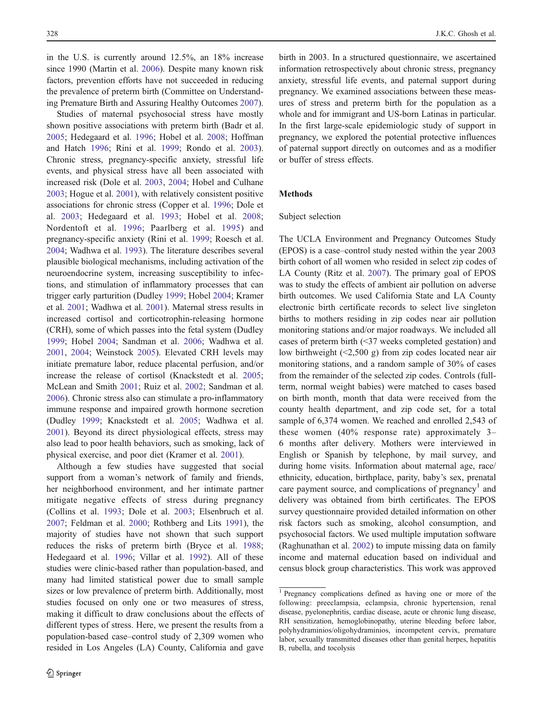in the U.S. is currently around 12.5%, an 18% increase since 1990 (Martin et al. [2006](#page-11-0)). Despite many known risk factors, prevention efforts have not succeeded in reducing the prevalence of preterm birth (Committee on Understanding Premature Birth and Assuring Healthy Outcomes [2007](#page-11-0)).

Studies of maternal psychosocial stress have mostly shown positive associations with preterm birth (Badr et al. [2005;](#page-11-0) Hedegaard et al. [1996](#page-11-0); Hobel et al. [2008](#page-11-0); Hoffman and Hatch [1996](#page-11-0); Rini et al. [1999;](#page-11-0) Rondo et al. [2003](#page-11-0)). Chronic stress, pregnancy-specific anxiety, stressful life events, and physical stress have all been associated with increased risk (Dole et al. [2003,](#page-11-0) [2004;](#page-11-0) Hobel and Culhane [2003;](#page-11-0) Hogue et al. [2001](#page-11-0)), with relatively consistent positive associations for chronic stress (Copper et al. [1996;](#page-11-0) Dole et al. [2003](#page-11-0); Hedegaard et al. [1993](#page-11-0); Hobel et al. [2008](#page-11-0); Nordentoft et al. [1996;](#page-11-0) Paarlberg et al. [1995](#page-11-0)) and pregnancy-specific anxiety (Rini et al. [1999;](#page-11-0) Roesch et al. [2004;](#page-11-0) Wadhwa et al. [1993](#page-11-0)). The literature describes several plausible biological mechanisms, including activation of the neuroendocrine system, increasing susceptibility to infections, and stimulation of inflammatory processes that can trigger early parturition (Dudley [1999](#page-11-0); Hobel [2004;](#page-11-0) Kramer et al. [2001;](#page-11-0) Wadhwa et al. [2001](#page-11-0)). Maternal stress results in increased cortisol and corticotrophin-releasing hormone (CRH), some of which passes into the fetal system (Dudley [1999;](#page-11-0) Hobel [2004](#page-11-0); Sandman et al. [2006;](#page-11-0) Wadhwa et al. [2001,](#page-11-0) [2004;](#page-11-0) Weinstock [2005\)](#page-11-0). Elevated CRH levels may initiate premature labor, reduce placental perfusion, and/or increase the release of cortisol (Knackstedt et al. [2005](#page-11-0); McLean and Smith [2001;](#page-11-0) Ruiz et al. [2002;](#page-11-0) Sandman et al. [2006\)](#page-11-0). Chronic stress also can stimulate a pro-inflammatory immune response and impaired growth hormone secretion (Dudley [1999](#page-11-0); Knackstedt et al. [2005](#page-11-0); Wadhwa et al. [2001\)](#page-11-0). Beyond its direct physiological effects, stress may also lead to poor health behaviors, such as smoking, lack of physical exercise, and poor diet (Kramer et al. [2001](#page-11-0)).

Although a few studies have suggested that social support from a woman's network of family and friends, her neighborhood environment, and her intimate partner mitigate negative effects of stress during pregnancy (Collins et al. [1993;](#page-11-0) Dole et al. [2003](#page-11-0); Elsenbruch et al. [2007;](#page-11-0) Feldman et al. [2000;](#page-11-0) Rothberg and Lits [1991](#page-11-0)), the majority of studies have not shown that such support reduces the risks of preterm birth (Bryce et al. [1988](#page-11-0); Hedegaard et al. [1996;](#page-11-0) Villar et al. [1992](#page-11-0)). All of these studies were clinic-based rather than population-based, and many had limited statistical power due to small sample sizes or low prevalence of preterm birth. Additionally, most studies focused on only one or two measures of stress, making it difficult to draw conclusions about the effects of different types of stress. Here, we present the results from a population-based case–control study of 2,309 women who resided in Los Angeles (LA) County, California and gave

birth in 2003. In a structured questionnaire, we ascertained information retrospectively about chronic stress, pregnancy anxiety, stressful life events, and paternal support during pregnancy. We examined associations between these measures of stress and preterm birth for the population as a whole and for immigrant and US-born Latinas in particular. In the first large-scale epidemiologic study of support in pregnancy, we explored the potential protective influences of paternal support directly on outcomes and as a modifier or buffer of stress effects.

# Methods

## Subject selection

The UCLA Environment and Pregnancy Outcomes Study (EPOS) is a case–control study nested within the year 2003 birth cohort of all women who resided in select zip codes of LA County (Ritz et al. [2007\)](#page-11-0). The primary goal of EPOS was to study the effects of ambient air pollution on adverse birth outcomes. We used California State and LA County electronic birth certificate records to select live singleton births to mothers residing in zip codes near air pollution monitoring stations and/or major roadways. We included all cases of preterm birth (<37 weeks completed gestation) and low birthweight (<2,500 g) from zip codes located near air monitoring stations, and a random sample of 30% of cases from the remainder of the selected zip codes. Controls (fullterm, normal weight babies) were matched to cases based on birth month, month that data were received from the county health department, and zip code set, for a total sample of 6,374 women. We reached and enrolled 2,543 of these women (40% response rate) approximately 3– 6 months after delivery. Mothers were interviewed in English or Spanish by telephone, by mail survey, and during home visits. Information about maternal age, race/ ethnicity, education, birthplace, parity, baby's sex, prenatal care payment source, and complications of pregnancy<sup>1</sup> and delivery was obtained from birth certificates. The EPOS survey questionnaire provided detailed information on other risk factors such as smoking, alcohol consumption, and psychosocial factors. We used multiple imputation software (Raghunathan et al. [2002\)](#page-11-0) to impute missing data on family income and maternal education based on individual and census block group characteristics. This work was approved

<sup>1</sup> Pregnancy complications defined as having one or more of the following: preeclampsia, eclampsia, chronic hypertension, renal disease, pyelonephritis, cardiac disease, acute or chronic lung disease, RH sensitization, hemoglobinopathy, uterine bleeding before labor, polyhydraminios/oligohydraminios, incompetent cervix, premature labor, sexually transmitted diseases other than genital herpes, hepatitis B, rubella, and tocolysis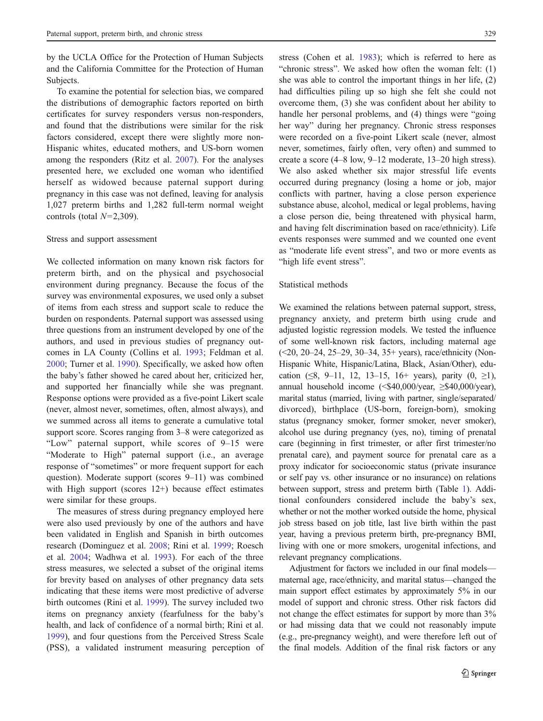by the UCLA Office for the Protection of Human Subjects and the California Committee for the Protection of Human Subjects.

To examine the potential for selection bias, we compared the distributions of demographic factors reported on birth certificates for survey responders versus non-responders, and found that the distributions were similar for the risk factors considered, except there were slightly more non-Hispanic whites, educated mothers, and US-born women among the responders (Ritz et al. [2007](#page-11-0)). For the analyses presented here, we excluded one woman who identified herself as widowed because paternal support during pregnancy in this case was not defined, leaving for analysis 1,027 preterm births and 1,282 full-term normal weight controls (total  $N=2,309$ ).

### Stress and support assessment

We collected information on many known risk factors for preterm birth, and on the physical and psychosocial environment during pregnancy. Because the focus of the survey was environmental exposures, we used only a subset of items from each stress and support scale to reduce the burden on respondents. Paternal support was assessed using three questions from an instrument developed by one of the authors, and used in previous studies of pregnancy outcomes in LA County (Collins et al. [1993](#page-11-0); Feldman et al. [2000;](#page-11-0) Turner et al. [1990](#page-11-0)). Specifically, we asked how often the baby's father showed he cared about her, criticized her, and supported her financially while she was pregnant. Response options were provided as a five-point Likert scale (never, almost never, sometimes, often, almost always), and we summed across all items to generate a cumulative total support score. Scores ranging from 3–8 were categorized as "Low" paternal support, while scores of 9–15 were "Moderate to High" paternal support (i.e., an average response of "sometimes" or more frequent support for each question). Moderate support (scores 9–11) was combined with High support (scores 12+) because effect estimates were similar for these groups.

The measures of stress during pregnancy employed here were also used previously by one of the authors and have been validated in English and Spanish in birth outcomes research (Dominguez et al. [2008;](#page-11-0) Rini et al. [1999;](#page-11-0) Roesch et al. [2004;](#page-11-0) Wadhwa et al. [1993\)](#page-11-0). For each of the three stress measures, we selected a subset of the original items for brevity based on analyses of other pregnancy data sets indicating that these items were most predictive of adverse birth outcomes (Rini et al. [1999](#page-11-0)). The survey included two items on pregnancy anxiety (fearfulness for the baby's health, and lack of confidence of a normal birth; Rini et al. [1999\)](#page-11-0), and four questions from the Perceived Stress Scale (PSS), a validated instrument measuring perception of stress (Cohen et al. [1983\)](#page-11-0); which is referred to here as "chronic stress". We asked how often the woman felt: (1) she was able to control the important things in her life, (2) had difficulties piling up so high she felt she could not overcome them, (3) she was confident about her ability to handle her personal problems, and (4) things were "going her way" during her pregnancy. Chronic stress responses were recorded on a five-point Likert scale (never, almost never, sometimes, fairly often, very often) and summed to create a score (4–8 low, 9–12 moderate, 13–20 high stress). We also asked whether six major stressful life events occurred during pregnancy (losing a home or job, major conflicts with partner, having a close person experience substance abuse, alcohol, medical or legal problems, having a close person die, being threatened with physical harm, and having felt discrimination based on race/ethnicity). Life events responses were summed and we counted one event as "moderate life event stress", and two or more events as "high life event stress".

# Statistical methods

We examined the relations between paternal support, stress, pregnancy anxiety, and preterm birth using crude and adjusted logistic regression models. We tested the influence of some well-known risk factors, including maternal age (<20, 20–24, 25–29, 30–34, 35+ years), race/ethnicity (Non-Hispanic White, Hispanic/Latina, Black, Asian/Other), education (≤8, 9–11, 12, 13–15, 16+ years), parity  $(0, \ge 1)$ , annual household income  $(\text{$}40,000/\text{year}, \text{$}>\text{$}540,000/\text{year})$ , marital status (married, living with partner, single/separated/ divorced), birthplace (US-born, foreign-born), smoking status (pregnancy smoker, former smoker, never smoker), alcohol use during pregnancy (yes, no), timing of prenatal care (beginning in first trimester, or after first trimester/no prenatal care), and payment source for prenatal care as a proxy indicator for socioeconomic status (private insurance or self pay vs. other insurance or no insurance) on relations between support, stress and preterm birth (Table [1\)](#page-3-0). Additional confounders considered include the baby's sex, whether or not the mother worked outside the home, physical job stress based on job title, last live birth within the past year, having a previous preterm birth, pre-pregnancy BMI, living with one or more smokers, urogenital infections, and relevant pregnancy complications.

Adjustment for factors we included in our final models maternal age, race/ethnicity, and marital status—changed the main support effect estimates by approximately 5% in our model of support and chronic stress. Other risk factors did not change the effect estimates for support by more than 3% or had missing data that we could not reasonably impute (e.g., pre-pregnancy weight), and were therefore left out of the final models. Addition of the final risk factors or any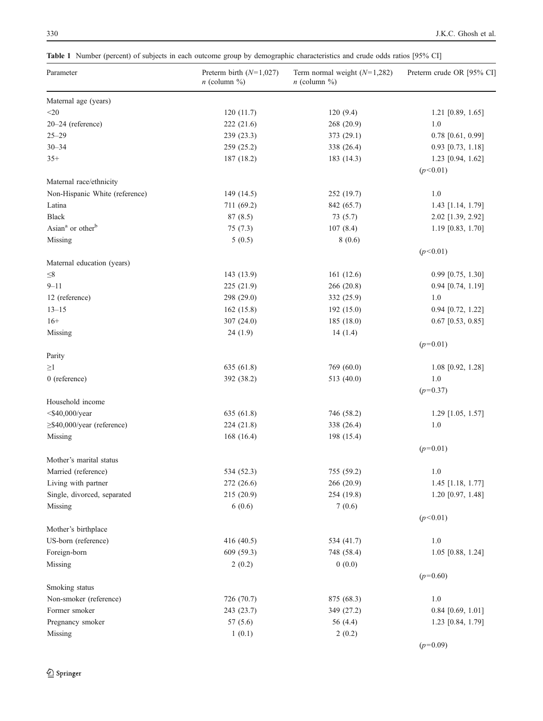<span id="page-3-0"></span>Table 1 Number (percent) of subjects in each outcome group by demographic characteristics and crude odds ratios [95% CI]

| Parameter                                          | Preterm birth $(N=1,027)$<br>$n$ (column $\%$ ) | Term normal weight $(N=1,282)$<br>$n$ (column $\%$ ) | Preterm crude OR [95% CI] |
|----------------------------------------------------|-------------------------------------------------|------------------------------------------------------|---------------------------|
| Maternal age (years)                               |                                                 |                                                      |                           |
| $<$ 20                                             | 120(11.7)                                       | 120(9.4)                                             | $1.21$ [0.89, 1.65]       |
| 20-24 (reference)                                  | 222 (21.6)                                      | 268 (20.9)                                           | 1.0                       |
| $25 - 29$                                          | 239 (23.3)                                      | 373 (29.1)                                           | $0.78$ [0.61, 0.99]       |
| $30 - 34$                                          | 259 (25.2)                                      | 338 (26.4)                                           | $0.93$ [0.73, 1.18]       |
| $35+$                                              | 187 (18.2)                                      | 183 (14.3)                                           | $1.23$ [0.94, 1.62]       |
| Maternal race/ethnicity                            |                                                 |                                                      | (p<0.01)                  |
| Non-Hispanic White (reference)                     | 149 (14.5)                                      | 252 (19.7)                                           | 1.0                       |
| Latina                                             | 711 (69.2)                                      | 842 (65.7)                                           | 1.43 [1.14, 1.79]         |
| <b>Black</b>                                       | 87(8.5)                                         | 73(5.7)                                              | 2.02 [1.39, 2.92]         |
| Asian <sup>a</sup> or other <sup>b</sup>           | 75(7.3)                                         | 107(8.4)                                             | $1.19$ [0.83, 1.70]       |
| Missing                                            | 5(0.5)                                          | 8(0.6)                                               |                           |
|                                                    |                                                 |                                                      | (p<0.01)                  |
| Maternal education (years)                         |                                                 |                                                      |                           |
| $\leq\!\!8$                                        | 143 (13.9)                                      | 161(12.6)                                            | $0.99$ [0.75, 1.30]       |
| $9 - 11$                                           | 225 (21.9)                                      | 266 (20.8)                                           | 0.94 [0.74, 1.19]         |
| 12 (reference)                                     | 298 (29.0)                                      | 332 (25.9)                                           | 1.0                       |
| $13 - 15$                                          | 162(15.8)                                       | 192 (15.0)                                           | $0.94$ [0.72, 1.22]       |
| $16+$                                              | 307 (24.0)                                      | 185(18.0)                                            | $0.67$ [0.53, 0.85]       |
| Missing                                            | 24(1.9)                                         | 14(1.4)                                              |                           |
| Parity                                             |                                                 |                                                      | $(p=0.01)$                |
| $\geq$ 1                                           | 635 (61.8)                                      | 769 (60.0)                                           | 1.08 [0.92, 1.28]         |
| $0$ (reference)                                    | 392 (38.2)                                      | 513 (40.0)                                           | 1.0                       |
|                                                    |                                                 |                                                      | $(p=0.37)$                |
| Household income                                   |                                                 |                                                      |                           |
| $<$ \$40,000/year                                  | 635 (61.8)                                      | 746 (58.2)                                           | $1.29$ [1.05, 1.57]       |
| ≥\$40,000/year (reference)                         | 224 (21.8)                                      | 338 (26.4)                                           | 1.0                       |
| Missing                                            | 168(16.4)                                       | 198 (15.4)                                           |                           |
| Mother's marital status                            |                                                 |                                                      | $(p=0.01)$                |
| Married (reference)                                | 534 (52.3)                                      |                                                      | 1.0                       |
|                                                    |                                                 | 755 (59.2)                                           | 1.45 [1.18, 1.77]         |
| Living with partner<br>Single, divorced, separated | 272 (26.6)                                      | 266 (20.9)                                           | 1.20 [0.97, 1.48]         |
| Missing                                            | 215 (20.9)<br>6(0.6)                            | 254 (19.8)<br>7(0.6)                                 |                           |
|                                                    |                                                 |                                                      | (p<0.01)                  |
| Mother's birthplace                                |                                                 |                                                      |                           |
| US-born (reference)                                | 416 (40.5)                                      | 534 (41.7)                                           | $1.0\,$                   |
| Foreign-born                                       | 609 (59.3)                                      | 748 (58.4)                                           | $1.05$ [0.88, 1.24]       |
| Missing                                            | 2(0.2)                                          | 0(0.0)                                               | $(p=0.60)$                |
| Smoking status                                     |                                                 |                                                      |                           |
| Non-smoker (reference)                             | 726 (70.7)                                      | 875 (68.3)                                           | 1.0                       |
| Former smoker                                      | 243 (23.7)                                      | 349 (27.2)                                           | $0.84$ [0.69, 1.01]       |
| Pregnancy smoker                                   | 57(5.6)                                         | 56 (4.4)                                             | 1.23 [0.84, 1.79]         |
| Missing                                            | 1(0.1)                                          | 2(0.2)                                               |                           |
|                                                    |                                                 |                                                      | $(p=0.09)$                |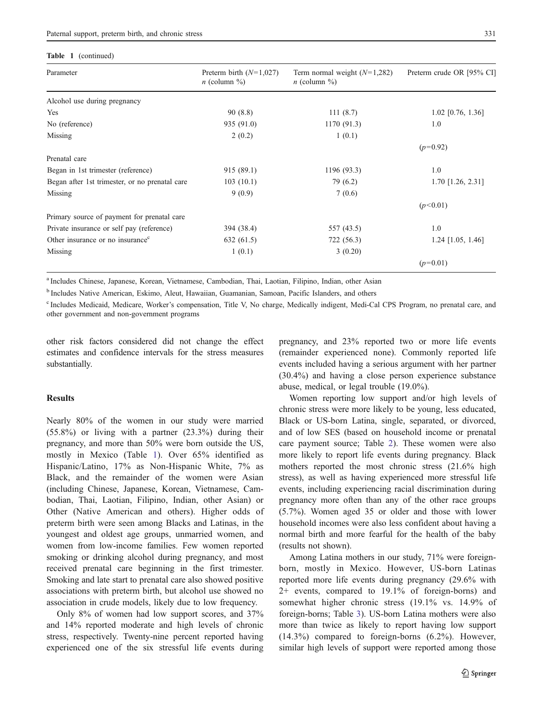#### Table 1 (continued)

| Parameter                                      | Preterm birth $(N=1,027)$<br>$n$ (column $\%$ ) | Term normal weight $(N=1,282)$<br>$n$ (column %) | Preterm crude OR [95% CI] |
|------------------------------------------------|-------------------------------------------------|--------------------------------------------------|---------------------------|
| Alcohol use during pregnancy                   |                                                 |                                                  |                           |
| Yes                                            | 90(8.8)                                         | 111(8.7)                                         | $1.02$ [0.76, 1.36]       |
| No (reference)                                 | 935 (91.0)                                      | 1170 (91.3)                                      | 1.0                       |
| Missing                                        | 2(0.2)                                          | 1(0.1)                                           |                           |
|                                                |                                                 |                                                  | $(p=0.92)$                |
| Prenatal care                                  |                                                 |                                                  |                           |
| Began in 1st trimester (reference)             | 915 (89.1)                                      | 1196 (93.3)                                      | 1.0                       |
| Began after 1st trimester, or no prenatal care | 103(10.1)                                       | 79 (6.2)                                         | $1.70$ [1.26, 2.31]       |
| Missing                                        | 9(0.9)                                          | 7(0.6)                                           |                           |
|                                                |                                                 |                                                  | (p<0.01)                  |
| Primary source of payment for prenatal care    |                                                 |                                                  |                           |
| Private insurance or self pay (reference)      | 394 (38.4)                                      | 557 (43.5)                                       | 1.0                       |
| Other insurance or no insurance <sup>c</sup>   | 632(61.5)                                       | 722 (56.3)                                       | $1.24$ [1.05, 1.46]       |
| Missing                                        | 1(0.1)                                          | 3(0.20)                                          |                           |
|                                                |                                                 |                                                  | $(p=0.01)$                |

<sup>a</sup> Includes Chinese, Japanese, Korean, Vietnamese, Cambodian, Thai, Laotian, Filipino, Indian, other Asian

<sup>b</sup> Includes Native American, Eskimo, Aleut, Hawaiian, Guamanian, Samoan, Pacific Islanders, and others

<sup>c</sup> Includes Medicaid, Medicare, Worker's compensation, Title V, No charge, Medically indigent, Medi-Cal CPS Program, no prenatal care, and other government and non-government programs

other risk factors considered did not change the effect estimates and confidence intervals for the stress measures substantially.

# Results

Nearly 80% of the women in our study were married (55.8%) or living with a partner (23.3%) during their pregnancy, and more than 50% were born outside the US, mostly in Mexico (Table [1\)](#page-3-0). Over 65% identified as Hispanic/Latino, 17% as Non-Hispanic White, 7% as Black, and the remainder of the women were Asian (including Chinese, Japanese, Korean, Vietnamese, Cambodian, Thai, Laotian, Filipino, Indian, other Asian) or Other (Native American and others). Higher odds of preterm birth were seen among Blacks and Latinas, in the youngest and oldest age groups, unmarried women, and women from low-income families. Few women reported smoking or drinking alcohol during pregnancy, and most received prenatal care beginning in the first trimester. Smoking and late start to prenatal care also showed positive associations with preterm birth, but alcohol use showed no association in crude models, likely due to low frequency.

Only 8% of women had low support scores, and 37% and 14% reported moderate and high levels of chronic stress, respectively. Twenty-nine percent reported having experienced one of the six stressful life events during pregnancy, and 23% reported two or more life events (remainder experienced none). Commonly reported life events included having a serious argument with her partner (30.4%) and having a close person experience substance abuse, medical, or legal trouble (19.0%).

Women reporting low support and/or high levels of chronic stress were more likely to be young, less educated, Black or US-born Latina, single, separated, or divorced, and of low SES (based on household income or prenatal care payment source; Table [2](#page-5-0)). These women were also more likely to report life events during pregnancy. Black mothers reported the most chronic stress (21.6% high stress), as well as having experienced more stressful life events, including experiencing racial discrimination during pregnancy more often than any of the other race groups (5.7%). Women aged 35 or older and those with lower household incomes were also less confident about having a normal birth and more fearful for the health of the baby (results not shown).

Among Latina mothers in our study, 71% were foreignborn, mostly in Mexico. However, US-born Latinas reported more life events during pregnancy (29.6% with 2+ events, compared to 19.1% of foreign-borns) and somewhat higher chronic stress (19.1% vs. 14.9% of foreign-borns; Table [3](#page-6-0)). US-born Latina mothers were also more than twice as likely to report having low support (14.3%) compared to foreign-borns (6.2%). However, similar high levels of support were reported among those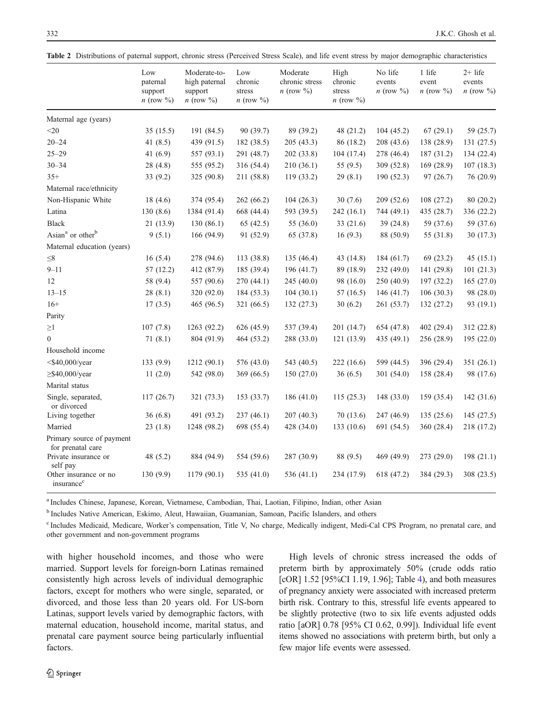<span id="page-5-0"></span>

|  | Table 2 Distributions of paternal support, chronic stress (Perceived Stress Scale), and life event stress by major demographic characteristics |  |  |  |  |  |  |  |  |  |  |  |  |
|--|------------------------------------------------------------------------------------------------------------------------------------------------|--|--|--|--|--|--|--|--|--|--|--|--|
|--|------------------------------------------------------------------------------------------------------------------------------------------------|--|--|--|--|--|--|--|--|--|--|--|--|

|                                                 | Low<br>paternal                 | Moderate-to-<br>high paternal | Low<br>chronic                 | Moderate<br>chronic stress | High<br>chronic                | No life<br>events    | 1 life<br>event      | $2+$ life<br>events  |
|-------------------------------------------------|---------------------------------|-------------------------------|--------------------------------|----------------------------|--------------------------------|----------------------|----------------------|----------------------|
|                                                 | support<br><i>n</i> (row $\%$ ) | support<br>$n$ (row $\%$ )    | stress<br>$n \text{ (row } \%$ | $n \text{ (row } \%$       | stress<br>$n \text{ (row } \%$ | <i>n</i> (row $\%$ ) | $n \text{ (row } \%$ | $n \text{ (row } \%$ |
| Maternal age (years)                            |                                 |                               |                                |                            |                                |                      |                      |                      |
| $<$ 20                                          | 35(15.5)                        | 191 (84.5)                    | 90 (39.7)                      | 89 (39.2)                  | 48 (21.2)                      | 104(45.2)            | 67(29.1)             | 59 (25.7)            |
| $20 - 24$                                       | 41 $(8.5)$                      | 439 (91.5)                    | 182 (38.5)                     | 205 (43.3)                 | 86 (18.2)                      | 208 (43.6)           | 138 (28.9)           | 131(27.5)            |
| $25 - 29$                                       | 41 (6.9)                        | 557 (93.1)                    | 291 (48.7)                     | 202 (33.8)                 | 104 (17.4)                     | 278 (46.4)           | 187 (31.2)           | 134 (22.4)           |
| $30 - 34$                                       | 28(4.8)                         | 555 (95.2)                    | 316 (54.4)                     | 210 (36.1)                 | 55 $(9.5)$                     | 309 (52.8)           | 169 (28.9)           | 107(18.3)            |
| $35+$                                           | 33(9.2)                         | 325 (90.8)                    | 211 (58.8)                     | 119(33.2)                  | 29(8.1)                        | 190(52.3)            | 97(26.7)             | 76 (20.9)            |
| Maternal race/ethnicity                         |                                 |                               |                                |                            |                                |                      |                      |                      |
| Non-Hispanic White                              | 18(4.6)                         | 374 (95.4)                    | 262 (66.2)                     | 104(26.3)                  | 30(7.6)                        | 209 (52.6)           | 108(27.2)            | 80 (20.2)            |
| Latina                                          | 130(8.6)                        | 1384 (91.4)                   | 668 (44.4)                     | 593 (39.5)                 | 242 (16.1)                     | 744 (49.1)           | 435 (28.7)           | 336 (22.2)           |
| <b>Black</b>                                    | 21(13.9)                        | 130(86.1)                     | 65(42.5)                       | 55 (36.0)                  | 33 (21.6)                      | 39(24.8)             | 59 (37.6)            | 59 (37.6)            |
| Asian <sup>a</sup> or other <sup>b</sup>        | 9(5.1)                          | 166 (94.9)                    | 91 (52.9)                      | 65 (37.8)                  | 16(9.3)                        | 88 (50.9)            | 55 (31.8)            | 30(17.3)             |
| Maternal education (years)                      |                                 |                               |                                |                            |                                |                      |                      |                      |
| $\leq 8$                                        | 16(5.4)                         | 278 (94.6)                    | 113 (38.8)                     | 135 (46.4)                 | 43 (14.8)                      | 184 (61.7)           | 69 (23.2)            | 45(15.1)             |
| $9 - 11$                                        | 57(12.2)                        | 412 (87.9)                    | 185 (39.4)                     | 196 (41.7)                 | 89 (18.9)                      | 232 (49.0)           | 141 (29.8)           | 101(21.3)            |
| 12                                              | 58 (9.4)                        | 557 (90.6)                    | 270 (44.1)                     | 245 (40.0)                 | 98 (16.0)                      | 250 (40.9)           | 197 (32.2)           | 165(27.0)            |
| $13 - 15$                                       | 28(8.1)                         | 320 (92.0)                    | 184 (53.3)                     | 104(30.1)                  | 57(16.5)                       | 146(41.7)            | 106(30.3)            | 98 (28.0)            |
| $16+$                                           | 17(3.5)                         | 465 (96.5)                    | 321 (66.5)                     | 132 (27.3)                 | 30(6.2)                        | 261 (53.7)           | 132(27.2)            | 93 (19.1)            |
| Parity                                          |                                 |                               |                                |                            |                                |                      |                      |                      |
| $\geq1$                                         | 107(7.8)                        | 1263 (92.2)                   | 626 (45.9)                     | 537 (39.4)                 | 201 (14.7)                     | 654 (47.8)           | 402 (29.4)           | 312 (22.8)           |
| $\overline{0}$                                  | 71(8.1)                         | 804 (91.9)                    | 464 (53.2)                     | 288 (33.0)                 | 121(13.9)                      | 435 $(49.1)$         | 256 (28.9)           | 195(22.0)            |
| Household income                                |                                 |                               |                                |                            |                                |                      |                      |                      |
| $<$ \$40,000/year                               | 133(9.9)                        | 1212(90.1)                    | 576 (43.0)                     | 543 (40.5)                 | 222 (16.6)                     | 599 (44.5)           | 396 (29.4)           | 351(26.1)            |
| $\geq$ \$40,000/year                            | 11(2.0)                         | 542 (98.0)                    | 369 (66.5)                     | 150 (27.0)                 | 36(6.5)                        | 301 (54.0)           | 158 (28.4)           | 98 (17.6)            |
| Marital status                                  |                                 |                               |                                |                            |                                |                      |                      |                      |
| Single, separated,<br>or divorced               | 117(26.7)                       | 321 (73.3)                    | 153 (33.7)                     | 186 (41.0)                 | 115(25.3)                      | 148 (33.0)           | 159 (35.4)           | 142 (31.6)           |
| Living together                                 | 36(6.8)                         | 491 (93.2)                    | 237 (46.1)                     | 207 (40.3)                 | 70(13.6)                       | 247 (46.9)           | 135 (25.6)           | 145(27.5)            |
| Married                                         | 23(1.8)                         | 1248 (98.2)                   | 698 (55.4)                     | 428 (34.0)                 | 133 (10.6)                     | 691 (54.5)           | 360 (28.4)           | 218 (17.2)           |
| Primary source of payment<br>for prenatal care  |                                 |                               |                                |                            |                                |                      |                      |                      |
| Private insurance or<br>self pay                | 48 (5.2)                        | 884 (94.9)                    | 554 (59.6)                     | 287 (30.9)                 | 88 (9.5)                       | 469 (49.9)           | 273 (29.0)           | 198(21.1)            |
| Other insurance or no<br>insurance <sup>c</sup> | 130(9.9)                        | 1179 (90.1)                   | 535 (41.0)                     | 536 (41.1)                 | 234 (17.9)                     | 618 (47.2)           | 384 (29.3)           | 308 (23.5)           |

<sup>a</sup> Includes Chinese, Japanese, Korean, Vietnamese, Cambodian, Thai, Laotian, Filipino, Indian, other Asian

<sup>b</sup> Includes Native American, Eskimo, Aleut, Hawaiian, Guamanian, Samoan, Pacific Islanders, and others

<sup>c</sup> Includes Medicaid, Medicare, Worker's compensation, Title V, No charge, Medically indigent, Medi-Cal CPS Program, no prenatal care, and other government and non-government programs

with higher household incomes, and those who were married. Support levels for foreign-born Latinas remained consistently high across levels of individual demographic factors, except for mothers who were single, separated, or divorced, and those less than 20 years old. For US-born Latinas, support levels varied by demographic factors, with maternal education, household income, marital status, and prenatal care payment source being particularly influential factors.

High levels of chronic stress increased the odds of preterm birth by approximately 50% (crude odds ratio [cOR] 1.52 [95%CI 1.19, 1.96]; Table [4](#page-8-0)), and both measures of pregnancy anxiety were associated with increased preterm birth risk. Contrary to this, stressful life events appeared to be slightly protective (two to six life events adjusted odds ratio [aOR] 0.78 [95% CI 0.62, 0.99]). Individual life event items showed no associations with preterm birth, but only a few major life events were assessed.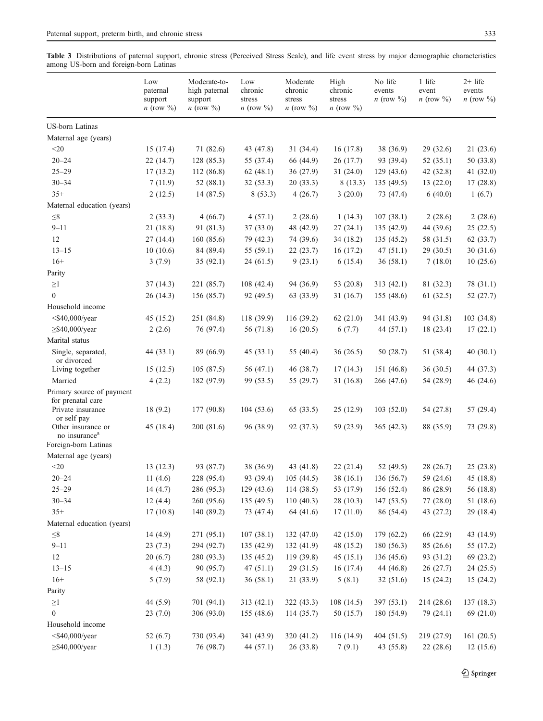<span id="page-6-0"></span>Table 3 Distributions of paternal support, chronic stress (Perceived Stress Scale), and life event stress by major demographic characteristics among US-born and foreign-born Latinas

|                                                                                    | Low<br>paternal<br>support<br>$n \text{ (row } \%$ | Moderate-to-<br>high paternal<br>support<br>$n \text{ (row } \%$ | Low<br>chronic<br>stress<br>$n \text{ (row } \%$ | Moderate<br>chronic<br>stress<br>$n \text{ (row } \%$ | High<br>chronic<br>stress<br><i>n</i> (row $\%$ ) | No life<br>events<br><i>n</i> (row $\%$ ) | 1 life<br>event<br><i>n</i> (row $\%$ ) | $2+$ life<br>events<br><i>n</i> (row $\%$ ) |
|------------------------------------------------------------------------------------|----------------------------------------------------|------------------------------------------------------------------|--------------------------------------------------|-------------------------------------------------------|---------------------------------------------------|-------------------------------------------|-----------------------------------------|---------------------------------------------|
| <b>US-born Latinas</b>                                                             |                                                    |                                                                  |                                                  |                                                       |                                                   |                                           |                                         |                                             |
| Maternal age (years)                                                               |                                                    |                                                                  |                                                  |                                                       |                                                   |                                           |                                         |                                             |
| $<$ 20 $\,$                                                                        | 15(17.4)                                           | 71 (82.6)                                                        | 43 (47.8)                                        | 31(34.4)                                              | 16(17.8)                                          | 38 (36.9)                                 | 29(32.6)                                | 21(23.6)                                    |
| $20 - 24$                                                                          | 22(14.7)                                           | 128(85.3)                                                        | 55 (37.4)                                        | 66 (44.9)                                             | 26(17.7)                                          | 93 (39.4)                                 | 52(35.1)                                | 50 (33.8)                                   |
| $25 - 29$                                                                          | 17(13.2)                                           | 112(86.8)                                                        | 62(48.1)                                         | 36(27.9)                                              | 31(24.0)                                          | 129(43.6)                                 | 42 (32.8)                               | 41 (32.0)                                   |
| $30 - 34$                                                                          | 7(11.9)                                            | 52 (88.1)                                                        | 32(53.3)                                         | 20(33.3)                                              | 8(13.3)                                           | 135(49.5)                                 | 13(22.0)                                | 17(28.8)                                    |
| $35+$                                                                              | 2(12.5)                                            | 14 (87.5)                                                        | 8(53.3)                                          | 4(26.7)                                               | 3(20.0)                                           | 73 (47.4)                                 | 6(40.0)                                 | 1(6.7)                                      |
| Maternal education (years)                                                         |                                                    |                                                                  |                                                  |                                                       |                                                   |                                           |                                         |                                             |
| $\leq\!\!8$                                                                        | 2(33.3)                                            | 4(66.7)                                                          | 4(57.1)                                          | 2(28.6)                                               | 1(14.3)                                           | 107(38.1)                                 | 2(28.6)                                 | 2(28.6)                                     |
| $9 - 11$                                                                           | 21(18.8)                                           | 91 (81.3)                                                        | 37(33.0)                                         | 48 (42.9)                                             | 27(24.1)                                          | 135(42.9)                                 | 44 (39.6)                               | 25(22.5)                                    |
| 12                                                                                 | 27(14.4)                                           | 160(85.6)                                                        | 79 (42.3)                                        | 74 (39.6)                                             | 34(18.2)                                          | 135 (45.2)                                | 58 (31.5)                               | 62 (33.7)                                   |
| $13 - 15$                                                                          | 10(10.6)                                           | 84 (89.4)                                                        | 55 $(59.1)$                                      | 22(23.7)                                              | 16(17.2)                                          | 47(51.1)                                  | 29(30.5)                                | 30(31.6)                                    |
| $16+$                                                                              | 3(7.9)                                             | 35(92.1)                                                         | 24(61.5)                                         | 9(23.1)                                               | 6(15.4)                                           | 36(58.1)                                  | 7(18.0)                                 | 10(25.6)                                    |
| Parity                                                                             |                                                    |                                                                  |                                                  |                                                       |                                                   |                                           |                                         |                                             |
| $\geq$ 1                                                                           | 37(14.3)                                           | 221 (85.7)                                                       | 108 (42.4)                                       | 94 (36.9)                                             | 53 (20.8)                                         | 313(42.1)                                 | 81 (32.3)                               | 78 (31.1)                                   |
| $\mathbf{0}$                                                                       | 26(14.3)                                           | 156 (85.7)                                                       | 92 (49.5)                                        | 63 (33.9)                                             | 31(16.7)                                          | 155 (48.6)                                | 61 (32.5)                               | 52 (27.7)                                   |
| Household income                                                                   |                                                    |                                                                  |                                                  |                                                       |                                                   |                                           |                                         |                                             |
| $<$ \$40,000/year                                                                  | 45(15.2)                                           | 251 (84.8)                                                       | 118 (39.9)                                       | 116(39.2)                                             | 62(21.0)                                          | 341 (43.9)                                | 94 (31.8)                               | 103 (34.8)                                  |
| $\geq$ \$40,000/year                                                               | 2(2.6)                                             | 76 (97.4)                                                        | 56 (71.8)                                        | 16(20.5)                                              | 6(7.7)                                            | 44 $(57.1)$                               | 18 (23.4)                               | 17(22.1)                                    |
| Marital status                                                                     |                                                    |                                                                  |                                                  |                                                       |                                                   |                                           |                                         |                                             |
| Single, separated,<br>or divorced                                                  | 44 (33.1)                                          | 89 (66.9)                                                        | 45(33.1)                                         | 55 (40.4)                                             | 36(26.5)                                          | 50 (28.7)                                 | 51 (38.4)                               | 40(30.1)                                    |
| Living together                                                                    | 15(12.5)                                           | 105(87.5)                                                        | 56 $(47.1)$                                      | 46 (38.7)                                             | 17(14.3)                                          | 151 (46.8)                                | 36(30.5)                                | 44 (37.3)                                   |
| Married                                                                            | 4(2.2)                                             | 182 (97.9)                                                       | 99 (53.5)                                        | 55 (29.7)                                             | 31(16.8)                                          | 266 (47.6)                                | 54 (28.9)                               | 46 (24.6)                                   |
| Primary source of payment<br>for prenatal care<br>Private insurance<br>or self pay | 18(9.2)                                            | 177(90.8)                                                        | 104(53.6)                                        | 65 (33.5)                                             | 25(12.9)                                          | 103(52.0)                                 | 54 (27.8)                               | 57 (29.4)                                   |
| Other insurance or<br>no insurance <sup>a</sup><br>Foreign-born Latinas            | 45 (18.4)                                          | 200 (81.6)                                                       | 96 (38.9)                                        | 92 (37.3)                                             | 59 (23.9)                                         | 365(42.3)                                 | 88 (35.9)                               | 73 (29.8)                                   |
| Maternal age (years)                                                               |                                                    |                                                                  |                                                  |                                                       |                                                   |                                           |                                         |                                             |
| $<$ 20                                                                             | 13(12.3)                                           | 93 (87.7)                                                        | 38 (36.9)                                        | 43 (41.8)                                             | 22(21.4)                                          | 52 (49.5)                                 | 28 (26.7)                               | 25(23.8)                                    |
| $20 - 24$                                                                          | 11(4.6)                                            | 228 (95.4)                                                       | 93 (39.4)                                        | 105(44.5)                                             | 38(16.1)                                          | 136 (56.7)                                | 59 (24.6)                               | 45 (18.8)                                   |
| $25 - 29$                                                                          | 14(4.7)                                            | 286 (95.3)                                                       | 129(43.6)                                        | 114(38.5)                                             | 53 (17.9)                                         | 156 (52.4)                                | 86 (28.9)                               | 56 (18.8)                                   |
| $30 - 34$                                                                          | 12(4.4)                                            | 260 (95.6)                                                       | 135 (49.5)                                       | 110(40.3)                                             | 28(10.3)                                          | 147(53.5)                                 | 77 (28.0)                               | 51 (18.6)                                   |
| $35+$                                                                              | 17(10.8)                                           | 140 (89.2)                                                       | 73 (47.4)                                        | 64 (41.6)                                             | 17(11.0)                                          | 86 (54.4)                                 | 43 (27.2)                               | 29 (18.4)                                   |
| Maternal education (years)                                                         |                                                    |                                                                  |                                                  |                                                       |                                                   |                                           |                                         |                                             |
| $\leq\!\!8$                                                                        | 14(4.9)                                            | 271 (95.1)                                                       | 107(38.1)                                        | 132(47.0)                                             | 42 $(15.0)$                                       | 179 (62.2)                                | 66 (22.9)                               | 43 (14.9)                                   |
| $9 - 11$                                                                           | 23(7.3)                                            | 294 (92.7)                                                       | 135 (42.9)                                       | 132(41.9)                                             | 48 (15.2)                                         | 180(56.3)                                 | 85 (26.6)                               | 55 (17.2)                                   |
| 12                                                                                 | 20(6.7)                                            | 280 (93.3)                                                       | 135(45.2)                                        | 119(39.8)                                             | 45(15.1)                                          | 136(45.6)                                 | 93 (31.2)                               | 69 (23.2)                                   |
| $13 - 15$                                                                          | 4(4.3)                                             | 90 (95.7)                                                        | 47(51.1)                                         | 29(31.5)                                              | 16(17.4)                                          | 44 (46.8)                                 | 26 (27.7)                               | 24 (25.5)                                   |
| $16+$                                                                              | 5(7.9)                                             | 58 (92.1)                                                        | 36(58.1)                                         | 21(33.9)                                              | 5(8.1)                                            | 32 (51.6)                                 | 15(24.2)                                | 15(24.2)                                    |
| Parity                                                                             |                                                    |                                                                  |                                                  |                                                       |                                                   |                                           |                                         |                                             |
| $\geq$ 1                                                                           | 44 (5.9)                                           | 701 (94.1)                                                       | 313 (42.1)                                       | 322(43.3)                                             | 108(14.5)                                         | 397 (53.1)                                | 214 (28.6)                              | 137(18.3)                                   |
| $\boldsymbol{0}$                                                                   | 23(7.0)                                            | 306 (93.0)                                                       | 155 (48.6)                                       | 114(35.7)                                             | 50 (15.7)                                         | 180 (54.9)                                | 79 (24.1)                               | 69 (21.0)                                   |
| Household income                                                                   |                                                    |                                                                  |                                                  |                                                       |                                                   |                                           |                                         |                                             |
| $<$ \$40,000/year                                                                  | 52 $(6.7)$                                         | 730 (93.4)                                                       | 341 (43.9)                                       | 320 (41.2)                                            | 116 (14.9)                                        | 404(51.5)                                 | 219 (27.9)                              | 161(20.5)                                   |
| $\geq$ \$40,000/year                                                               | 1(1.3)                                             | 76 (98.7)                                                        | 44 (57.1)                                        | 26(33.8)                                              | 7(9.1)                                            | 43 (55.8)                                 | 22 (28.6)                               | 12(15.6)                                    |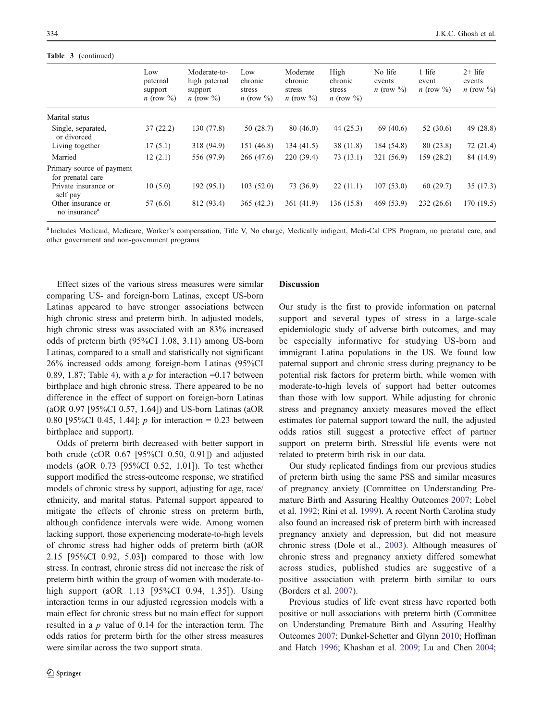# Table 3 (continued)

|                                                 | Low<br>paternal<br>support<br><i>n</i> (row $\%$ ) | Moderate-to-<br>high paternal<br>support<br><i>n</i> (row $\%$ ) | Low<br>chronic<br>stress<br><i>n</i> (row $\%$ ) | Moderate<br>chronic<br>stress<br>$n \text{ (row } \%$ | High<br>chronic<br>stress<br>$n \text{ (row } \%$ | No life<br>events<br><i>n</i> (row $\%$ ) | 1 life<br>event<br>$n \text{ (row } \%$ | $2+$ life<br>events<br>$n \text{ (row } \%$ |
|-------------------------------------------------|----------------------------------------------------|------------------------------------------------------------------|--------------------------------------------------|-------------------------------------------------------|---------------------------------------------------|-------------------------------------------|-----------------------------------------|---------------------------------------------|
| Marital status                                  |                                                    |                                                                  |                                                  |                                                       |                                                   |                                           |                                         |                                             |
| Single, separated,<br>or divorced               | 37(22.2)                                           | 130(77.8)                                                        | 50 (28.7)                                        | 80(46.0)                                              | 44 $(25.3)$                                       | 69 (40.6)                                 | 52 (30.6)                               | 49 $(28.8)$                                 |
| Living together                                 | 17(5.1)                                            | 318 (94.9)                                                       | 151 (46.8)                                       | 134(41.5)                                             | 38 (11.8)                                         | 184 (54.8)                                | 80 (23.8)                               | 72(21.4)                                    |
| Married                                         | 12(2.1)                                            | 556 (97.9)                                                       | 266 (47.6)                                       | 220(39.4)                                             | 73(13.1)                                          | 321 (56.9)                                | 159 (28.2)                              | 84 (14.9)                                   |
| Primary source of payment<br>for prenatal care  |                                                    |                                                                  |                                                  |                                                       |                                                   |                                           |                                         |                                             |
| Private insurance or<br>self pay                | 10(5.0)                                            | 192(95.1)                                                        | 103(52.0)                                        | 73 (36.9)                                             | 22(11.1)                                          | 107(53.0)                                 | 60(29.7)                                | 35(17.3)                                    |
| Other insurance or<br>no insurance <sup>a</sup> | 57 (6.6)                                           | 812 (93.4)                                                       | 365(42.3)                                        | 361 (41.9)                                            | 136 (15.8)                                        | 469 (53.9)                                | 232(26.6)                               | 170(19.5)                                   |

<sup>a</sup> Includes Medicaid, Medicare, Worker's compensation, Title V, No charge, Medically indigent, Medi-Cal CPS Program, no prenatal care, and other government and non-government programs

Effect sizes of the various stress measures were similar comparing US- and foreign-born Latinas, except US-born Latinas appeared to have stronger associations between high chronic stress and preterm birth. In adjusted models, high chronic stress was associated with an 83% increased odds of preterm birth (95%CI 1.08, 3.11) among US-born Latinas, compared to a small and statistically not significant 26% increased odds among foreign-born Latinas (95%CI 0.89, 1.87; Table [4\)](#page-8-0), with a  $p$  for interaction =0.17 between birthplace and high chronic stress. There appeared to be no difference in the effect of support on foreign-born Latinas (aOR 0.97 [95%CI 0.57, 1.64]) and US-born Latinas (aOR 0.80 [95%CI 0.45, 1.44]; *p* for interaction = 0.23 between birthplace and support).

Odds of preterm birth decreased with better support in both crude (cOR 0.67 [95%CI 0.50, 0.91]) and adjusted models (aOR 0.73 [95%CI 0.52, 1.01]). To test whether support modified the stress-outcome response, we stratified models of chronic stress by support, adjusting for age, race/ ethnicity, and marital status. Paternal support appeared to mitigate the effects of chronic stress on preterm birth, although confidence intervals were wide. Among women lacking support, those experiencing moderate-to-high levels of chronic stress had higher odds of preterm birth (aOR 2.15 [95%CI 0.92, 5.03]) compared to those with low stress. In contrast, chronic stress did not increase the risk of preterm birth within the group of women with moderate-tohigh support (aOR 1.13 [95%CI 0.94, 1.35]). Using interaction terms in our adjusted regression models with a main effect for chronic stress but no main effect for support resulted in a p value of 0.14 for the interaction term. The odds ratios for preterm birth for the other stress measures were similar across the two support strata.

## Discussion

Our study is the first to provide information on paternal support and several types of stress in a large-scale epidemiologic study of adverse birth outcomes, and may be especially informative for studying US-born and immigrant Latina populations in the US. We found low paternal support and chronic stress during pregnancy to be potential risk factors for preterm birth, while women with moderate-to-high levels of support had better outcomes than those with low support. While adjusting for chronic stress and pregnancy anxiety measures moved the effect estimates for paternal support toward the null, the adjusted odds ratios still suggest a protective effect of partner support on preterm birth. Stressful life events were not related to preterm birth risk in our data.

Our study replicated findings from our previous studies of preterm birth using the same PSS and similar measures of pregnancy anxiety (Committee on Understanding Premature Birth and Assuring Healthy Outcomes [2007](#page-11-0); Lobel et al. [1992](#page-11-0); Rini et al. [1999](#page-11-0)). A recent North Carolina study also found an increased risk of preterm birth with increased pregnancy anxiety and depression, but did not measure chronic stress (Dole et al., [2003](#page-11-0)). Although measures of chronic stress and pregnancy anxiety differed somewhat across studies, published studies are suggestive of a positive association with preterm birth similar to ours (Borders et al. [2007](#page-11-0)).

Previous studies of life event stress have reported both positive or null associations with preterm birth (Committee on Understanding Premature Birth and Assuring Healthy Outcomes [2007](#page-11-0); Dunkel-Schetter and Glynn [2010;](#page-11-0) Hoffman and Hatch [1996;](#page-11-0) Khashan et al. [2009](#page-11-0); Lu and Chen [2004;](#page-11-0)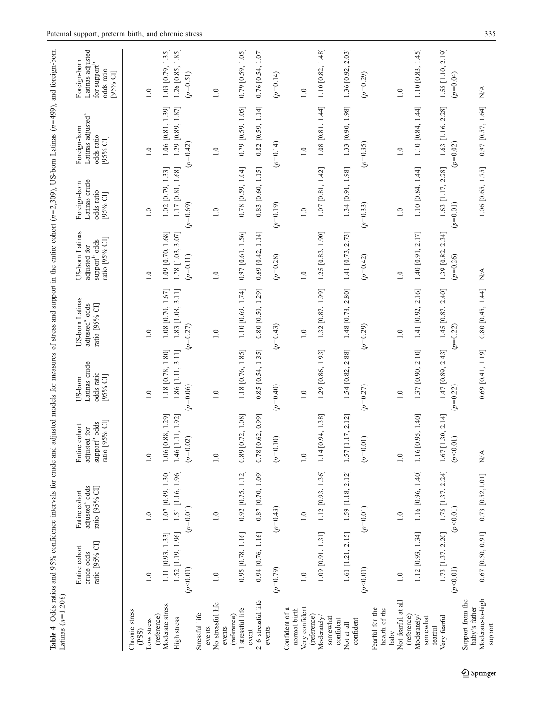<span id="page-8-0"></span>

| Latinas $(n=1,208)$                                              | Table 4 Odds ratios and 95% confidence intervals for crude and adjusted models for measures of stress and support in the entire cohort $(n=2,309)$ , US-bom Latinas $(n=499)$ , and foreign-bom |                                                               |                                                                                  |                                                   |                                                                 |                                                                                |                                                         |                                                                         |                                                                                        |
|------------------------------------------------------------------|-------------------------------------------------------------------------------------------------------------------------------------------------------------------------------------------------|---------------------------------------------------------------|----------------------------------------------------------------------------------|---------------------------------------------------|-----------------------------------------------------------------|--------------------------------------------------------------------------------|---------------------------------------------------------|-------------------------------------------------------------------------|----------------------------------------------------------------------------------------|
|                                                                  | ratio [95% CI]<br>Entire cohort<br>crude odds                                                                                                                                                   | adjusted <sup>a</sup> odds<br>ratio [95% CI]<br>Entire cohort | ratio [95% CI]<br>support <sup>b</sup> odds<br>re cohort<br>adjusted for<br>Enti | Latinas crude<br>odds ratio<br>[D %56.<br>US-born | US-born Latinas<br>adjusted <sup>a</sup> odds<br>ratio [95% CI] | US-born Latinas<br>ratio [95% CI]<br>support <sup>b</sup> odds<br>adjusted for | Latinas crude<br>Foreign-born<br>odds ratio<br>[95% CI] | Latinas adjusted <sup>a</sup><br>Foreign-born<br>odds ratio<br>[95% CI] | Latinas adjusted<br>Foreign-born<br>for support <sup>b</sup><br>odds ratio<br>[95% CI] |
| Chronic stress<br>(PSS)                                          |                                                                                                                                                                                                 |                                                               |                                                                                  |                                                   |                                                                 |                                                                                |                                                         |                                                                         |                                                                                        |
| Moderate stress<br>(reference)<br>Low stress                     | 1.11 [0.93, 1.33]<br>1.0                                                                                                                                                                        | 1.07 [0.89, 1.30]<br>1.0                                      | 1.06 [0.88, 1.29]<br>1.0                                                         | 1.18 [0.78, 1.80]<br>$\frac{0}{1}$                | 1.08 [0.70, 1.67]<br>1.0                                        | 1.09 [0.70, 1.68]<br>1.0                                                       | 1.02 [0.79, 1.33]<br>1.0                                | 1.06 [0.81, 1.39]<br>1.0                                                | 1.03 [0.79, 1.35]<br>1.0                                                               |
| High stress                                                      | 1.52 [1.19, 1.96]                                                                                                                                                                               | 1.51 [1.16, 1.96]                                             | 1.46 [1.11, 1.92]                                                                | 1.86 [1.11, 3.11]                                 | $1.83$ [1.08, 3.11]                                             | $1.78$ [1.03, 3.07]                                                            | 1.17 [0.81, 1.68]                                       | 1.29 [0.89, 1.87]                                                       | 1.26 [0.85, 1.85]                                                                      |
| Stressful life                                                   | (p<0.01)                                                                                                                                                                                        | $(p=0.01)$                                                    | $(p=0.02)$                                                                       | $(p=0.06)$                                        | $(p=0.27)$                                                      | $(p=0.11)$                                                                     | $(p=0.69)$                                              | $(p=0.42)$                                                              | $(p=0.51)$                                                                             |
| No stressful life<br>events                                      | 1.0                                                                                                                                                                                             | 1.0                                                           | 1.0                                                                              | 1.0                                               | $1.0\,$                                                         | 1.0                                                                            | $1.0\,$                                                 | 1.0                                                                     | $1.0\,$                                                                                |
| 1 stressful life<br>(reference)<br>events                        | 0.95 [0.78, 1.16]                                                                                                                                                                               | 0.92 [0.75, 1.12]                                             | 0.89 [0.72, 1.08]                                                                | 1.18 [0.76, 1.85]                                 | 1.10 [0.69, 1.74]                                               | $0.97$ [0.61, 1.56]                                                            | $0.78$ [0.59, 1.04]                                     | $0.79$ [0.59, 1.05]                                                     | $0.79$ [0.59, 1.05]                                                                    |
| 2-6 stressful life<br>event                                      | $0.94$ [0.76, 1.16]                                                                                                                                                                             | $0.87$ [0.70, 1.09]                                           | $0.78$ [0.62, 0.99]                                                              | $0.85$ [0.54, 1.35]                               | $0.80$ [0.50, 1.29]                                             | $0.69$ [0.42, 1.14]                                                            | 0.83 [0.60, 1.15]                                       | $0.82$ [0.59, 1.14]                                                     | $0.76$ [0.54, 1.07]                                                                    |
| events                                                           | $(p=0.79)$                                                                                                                                                                                      | $(p=0.43)$                                                    | $(p=0.10)$                                                                       | $(p=0.40)$                                        | $(p=0.43)$                                                      | $(p=0.28)$                                                                     | $(p=0.19)$                                              | $(p=0.14)$                                                              | $(p=0.14)$                                                                             |
| Very confident<br>Confident of a<br>normal birth                 | 1.0                                                                                                                                                                                             | 1.0                                                           | $\frac{0}{1}$                                                                    | 1.0                                               | 1.0                                                             | 1.0                                                                            | 1.0                                                     | 1.0                                                                     | 1.0                                                                                    |
| (reference)<br>Moderately/<br>somewhat                           | $1.09$ [0.91, 1.31]                                                                                                                                                                             | 1.12 [0.93, 1.36]                                             | 1.14 [0.94, 1.38]                                                                | 1.29 [0.86, 1.93]                                 | 1.32 [0.87, 1.99]                                               | 1.25 [0.83, 1.90]                                                              | $1.07$ [0.81, 1.42]                                     | $1.08$ [0.81, 1.44]                                                     | 1.10 [0.82, 1.48]                                                                      |
| confident<br>Not at all                                          | 1.61 [1.21, 2.15]                                                                                                                                                                               | 1.59 [1.18, 2.12]                                             | 1.57 [1.17, 2.12]                                                                | 1.54 [0.82, 2.88]                                 | 1.48 [0.78, 2.80]                                               | 1.41 [0.73, 2.73]                                                              | 1.34 [0.91, 1.98]                                       | 1.33 [0.90, 1.98]                                                       | 1.36 [0.92, 2.03]                                                                      |
| confident                                                        | (p<0.01)                                                                                                                                                                                        | $(p=0.01)$                                                    | $(p=0.01)$                                                                       | $(p=0.27)$                                        | $(p=0.29)$                                                      | $(p=0.42)$                                                                     | $(p=0.33)$                                              | $(p=0.35)$                                                              | $(p=0.29)$                                                                             |
| Not fearful at all<br>health of the<br>Fearful for the<br>baby   | 1.0                                                                                                                                                                                             | 1.0                                                           | 1.0                                                                              | 1.0                                               | $1.0\,$                                                         | 1.0                                                                            | 1.0                                                     | $1.0\,$                                                                 | 1.0                                                                                    |
| (reference)<br>Moderately<br>somewhat                            | 1.12 [0.93, 1.34]                                                                                                                                                                               | 1.16 [0.96, 1.40]                                             | 1.16 [0.95, 1.40]                                                                | 1.37 [0.90, 2.10]                                 | 1.41 [0.92, 2.16]                                               | 1.40 [0.91, 2.17]                                                              | 1.10 [0.84, 1.44]                                       | 1.10 [0.84, 1.44]                                                       | 1.10 [0.83, 1.45]                                                                      |
| Very fearful<br>fearful                                          | $(p<0.01)$                                                                                                                                                                                      | $1.73$ [1.37, 2.20] $1.75$ [1.37, 2.24]<br>(p<0.01)           | $1.67$ [1.30, 2.14]<br>(p<0.01)                                                  | 1.47 [0.89, 2.43]<br>$(p=0.22)$                   | 1.45 [0.87, 2.40]<br>$(p=0.22)$                                 | 1.39 [0.82, 2.34]<br>$(p=0.26)$                                                | 1.63 [1.17, 2.28]<br>$(p=0.01)$                         | 1.63 [1.16, 2.28]<br>$(p=0.02)$                                         | 1.55 [1.10, 2.19]<br>$(p=0.04)$                                                        |
| Moderate-to-high<br>Support from the<br>baby's father<br>support | $0.67$ [0.50, 0.91]                                                                                                                                                                             | $0.73$ [0.52,1.01]                                            | N/A                                                                              | $0.69$ [0.41, 1.19]                               | $0.80$ [ $0.45$ , 1.44]                                         | $\frac{\lambda}{\lambda}$                                                      | 1.06 [0.65, 1.75]                                       | $0.97$ [0.57, 1.64]                                                     | N/A                                                                                    |

 $\underline{\textcircled{\tiny 2}}$  Springer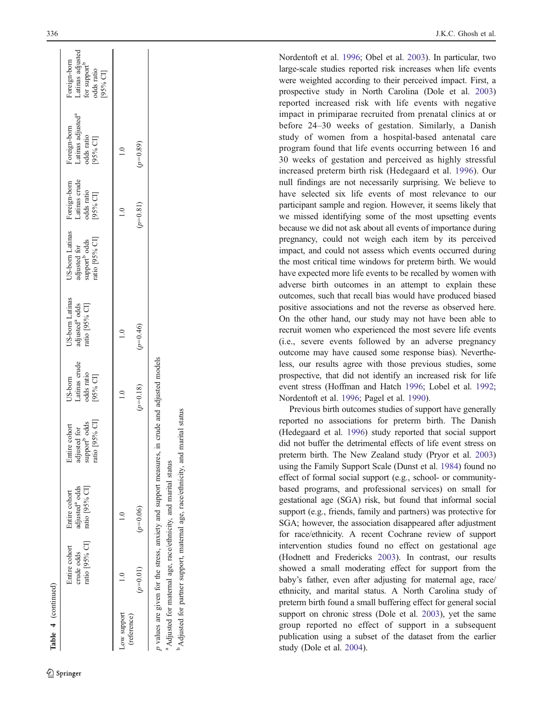| ratio [95% CI]                          | adjusted <sup>a</sup> odds<br>ratio [95% CI] | ratio [95% CI]<br>support <sup>b</sup> odds<br>Entire cohort<br>adjusted for | Latinas crude<br>odds ratio<br>[95% CI]<br>US-born | US-born Latinas<br>adjusted <sup>a</sup> odds<br>ratio [95% CI] | US-born Latinas<br>adjusted for<br>support <sup>b</sup> odds<br>ratio [95% Cl] | Foreign-born<br>Latinas crude<br>odds ratio<br>[95% CI] | Foreign-born<br>Latinas adjusted <sup>a</sup><br>odds ratio<br>[95% CI] | Latinas adjusted<br>Foreign-born<br>for $\text{support}^{\text{b}}$ odds ratio<br>[95% CI] |
|-----------------------------------------|----------------------------------------------|------------------------------------------------------------------------------|----------------------------------------------------|-----------------------------------------------------------------|--------------------------------------------------------------------------------|---------------------------------------------------------|-------------------------------------------------------------------------|--------------------------------------------------------------------------------------------|
| Low support                             |                                              |                                                                              |                                                    |                                                                 |                                                                                |                                                         |                                                                         |                                                                                            |
| $(p=0.06)$<br>$(p=0.01)$<br>(reference) |                                              |                                                                              | $(p=0.18)$                                         | $(p=0.46)$                                                      |                                                                                | $(p=0.81)$                                              | $(p=0.89)$                                                              |                                                                                            |

Nordentoft et al. [1996;](#page-11-0) Obel et al. [2003\)](#page-11-0). In particular, two large-scale studies reported risk increases when life events were weighted according to their perceived impact. First, a prospective study in North Carolina (Dole et al. [2003](#page-11-0) ) reported increased risk with life events with negative impact in primiparae recruited from prenatal clinics at or before 24 –30 weeks of gestation. Similarly, a Danish study of women from a hospital-based antenatal care program found that life events occurring between 16 and 30 weeks of gestation and perceived as highly stressful increased preterm birth risk (Hedegaard et al. [1996\)](#page-11-0). Our null findings are not necessarily surprising. We believe to have selected six life events of most relevance to our participant sample and region. However, it seems likely that we missed identifying some of the most upsetting events because we did not ask about all events of importance during pregnancy, could not weigh each item by its perceived impact, and could not assess which events occurred during the most critical time windows for preterm birth. We would have expected more life events to be recalled by women with adverse birth outcomes in an attempt to explain these outcomes, such that recall bias would have produced biased positive associations and not the reverse as observed here. On the other hand, our study may not have been able to recruit women who experienced the most severe life events (i.e., severe events followed by an adverse pregnancy outcome may have caused some response bias). Nevertheless, our results agree with those previous studies, some prospective, that did not identify an increased risk for life event stress (Hoffman and Hatch [1996;](#page-11-0) Lobel et al. [1992](#page-11-0) ; Nordentoft et al. [1996](#page-11-0); Pagel et al. [1990\)](#page-11-0).

Previous birth outcomes studies of support have generally reported no associations for preterm birth. The Danish (Hedegaard et al. [1996](#page-11-0)) study reported that social support did not buffer the detrimental effects of life event stress on preterm birth. The New Zealand study (Pryor et al. [2003](#page-11-0) ) using the Family Support Scale (Dunst et al. [1984\)](#page-11-0) found no effect of formal social support (e.g., school- or communitybased programs, and professional services) on small for gestational age (SGA) risk, but found that informal social support (e.g., friends, family and partners) was protective for SGA; however, the association disappeared after adjustment for race/ethnicity. A recent Cochrane review of support intervention studies found no effect on gestational age (Hodnett and Fredericks [2003](#page-11-0)). In contrast, our results showed a small moderating effect for support from the baby 's father, even after adjusting for maternal age, race/ ethnicity, and marital status. A North Carolina study of preterm birth found a small buffering effect for general social support on chronic stress (Dole et al. [2003\)](#page-11-0), yet the same group reported no effect of support in a subsequent publication using a subset of the dataset from the earlier study (Dole et al. [2004\)](#page-11-0).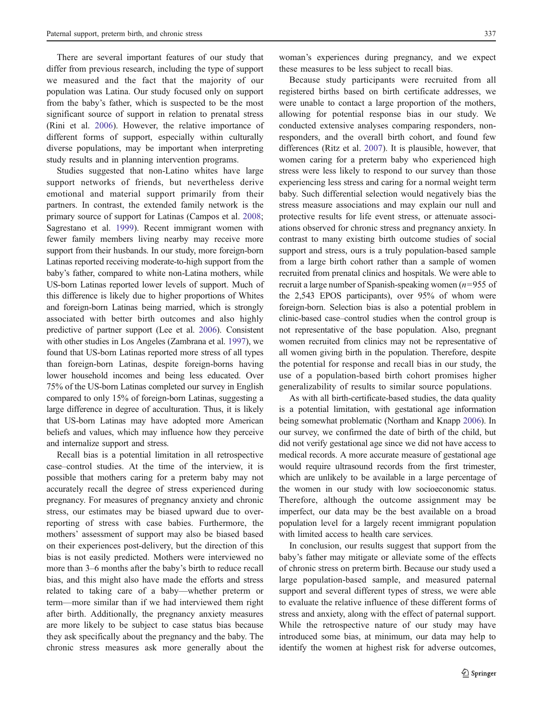There are several important features of our study that differ from previous research, including the type of support we measured and the fact that the majority of our population was Latina. Our study focused only on support from the baby's father, which is suspected to be the most significant source of support in relation to prenatal stress (Rini et al. [2006\)](#page-11-0). However, the relative importance of different forms of support, especially within culturally diverse populations, may be important when interpreting study results and in planning intervention programs.

Studies suggested that non-Latino whites have large support networks of friends, but nevertheless derive emotional and material support primarily from their partners. In contrast, the extended family network is the primary source of support for Latinas (Campos et al. [2008](#page-11-0); Sagrestano et al. [1999\)](#page-11-0). Recent immigrant women with fewer family members living nearby may receive more support from their husbands. In our study, more foreign-born Latinas reported receiving moderate-to-high support from the baby's father, compared to white non-Latina mothers, while US-born Latinas reported lower levels of support. Much of this difference is likely due to higher proportions of Whites and foreign-born Latinas being married, which is strongly associated with better birth outcomes and also highly predictive of partner support (Lee et al. [2006\)](#page-11-0). Consistent with other studies in Los Angeles (Zambrana et al. [1997\)](#page-11-0), we found that US-born Latinas reported more stress of all types than foreign-born Latinas, despite foreign-borns having lower household incomes and being less educated. Over 75% of the US-born Latinas completed our survey in English compared to only 15% of foreign-born Latinas, suggesting a large difference in degree of acculturation. Thus, it is likely that US-born Latinas may have adopted more American beliefs and values, which may influence how they perceive and internalize support and stress.

Recall bias is a potential limitation in all retrospective case–control studies. At the time of the interview, it is possible that mothers caring for a preterm baby may not accurately recall the degree of stress experienced during pregnancy. For measures of pregnancy anxiety and chronic stress, our estimates may be biased upward due to overreporting of stress with case babies. Furthermore, the mothers' assessment of support may also be biased based on their experiences post-delivery, but the direction of this bias is not easily predicted. Mothers were interviewed no more than 3–6 months after the baby's birth to reduce recall bias, and this might also have made the efforts and stress related to taking care of a baby—whether preterm or term—more similar than if we had interviewed them right after birth. Additionally, the pregnancy anxiety measures are more likely to be subject to case status bias because they ask specifically about the pregnancy and the baby. The chronic stress measures ask more generally about the

woman's experiences during pregnancy, and we expect these measures to be less subject to recall bias.

Because study participants were recruited from all registered births based on birth certificate addresses, we were unable to contact a large proportion of the mothers, allowing for potential response bias in our study. We conducted extensive analyses comparing responders, nonresponders, and the overall birth cohort, and found few differences (Ritz et al. [2007\)](#page-11-0). It is plausible, however, that women caring for a preterm baby who experienced high stress were less likely to respond to our survey than those experiencing less stress and caring for a normal weight term baby. Such differential selection would negatively bias the stress measure associations and may explain our null and protective results for life event stress, or attenuate associations observed for chronic stress and pregnancy anxiety. In contrast to many existing birth outcome studies of social support and stress, ours is a truly population-based sample from a large birth cohort rather than a sample of women recruited from prenatal clinics and hospitals. We were able to recruit a large number of Spanish-speaking women  $(n=955$  of the 2,543 EPOS participants), over 95% of whom were foreign-born. Selection bias is also a potential problem in clinic-based case–control studies when the control group is not representative of the base population. Also, pregnant women recruited from clinics may not be representative of all women giving birth in the population. Therefore, despite the potential for response and recall bias in our study, the use of a population-based birth cohort promises higher generalizability of results to similar source populations.

As with all birth-certificate-based studies, the data quality is a potential limitation, with gestational age information being somewhat problematic (Northam and Knapp [2006\)](#page-11-0). In our survey, we confirmed the date of birth of the child, but did not verify gestational age since we did not have access to medical records. A more accurate measure of gestational age would require ultrasound records from the first trimester, which are unlikely to be available in a large percentage of the women in our study with low socioeconomic status. Therefore, although the outcome assignment may be imperfect, our data may be the best available on a broad population level for a largely recent immigrant population with limited access to health care services.

In conclusion, our results suggest that support from the baby's father may mitigate or alleviate some of the effects of chronic stress on preterm birth. Because our study used a large population-based sample, and measured paternal support and several different types of stress, we were able to evaluate the relative influence of these different forms of stress and anxiety, along with the effect of paternal support. While the retrospective nature of our study may have introduced some bias, at minimum, our data may help to identify the women at highest risk for adverse outcomes,